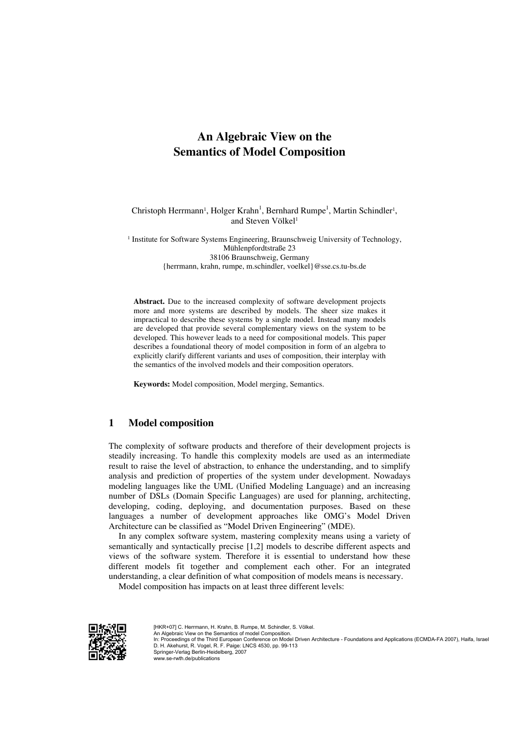# **An Algebraic View on the Semantics of Model Composition**

Christoph Herrmann<sup>1</sup>, Holger Krahn<sup>1</sup>, Bernhard Rumpe<sup>1</sup>, Martin Schindler<sup>1</sup>, and Steven Völkel<sup>1</sup>

<sup>1</sup> Institute for Software Systems Engineering, Braunschweig University of Technology, Mühlenpfordtstraße 23 38106 Braunschweig, Germany {herrmann, krahn, rumpe, m.schindler, voelkel}@sse.cs.tu-bs.de

Abstract. Due to the increased complexity of software development projects more and more systems are described by models. The sheer size makes it impractical to describe these systems by a single model. Instead many models are developed that provide several complementary views on the system to be developed. This however leads to a need for compositional models. This paper describes a foundational theory of model composition in form of an algebra to explicitly clarify different variants and uses of composition, their interplay with the semantics of the involved models and their composition operators.

**Keywords:** Model composition, Model merging, Semantics.

# **1 Model composition**

The complexity of software products and therefore of their development projects is steadily increasing. To handle this complexity models are used as an intermediate result to raise the level of abstraction, to enhance the understanding, and to simplify analysis and prediction of properties of the system under development. Nowadays modeling languages like the UML (Unified Modeling Language) and an increasing number of DSLs (Domain Specific Languages) are used for planning, architecting, developing, coding, deploying, and documentation purposes. Based on these languages a number of development approaches like OMG's Model Driven Architecture can be classified as "Model Driven Engineering" (MDE).

In any complex software system, mastering complexity means using a variety of semantically and syntactically precise [1,2] models to describe different aspects and views of the software system. Therefore it is essential to understand how these different models fit together and complement each other. For an integrated understanding, a clear definition of what composition of models means is necessary.

Model composition has impacts on at least three different levels:



[HKR+07] C. Herrmann, H. Krahn, B. Rumpe, M. Schindler, S. Völkel.

An Algebraic View on the Semantics of model Composition. In: Proceedings of the Third European Conference on Model Driven Architecture - Foundations and Applications (ECMDA-FA 2007), Haifa, Israel D. H. Akehurst, R. Vogel, R. F. Paige: LNCS 4530, pp. 99-113 Springer-Verlag Berlin-Heidelberg, 2007 www.se-rwth.de/publications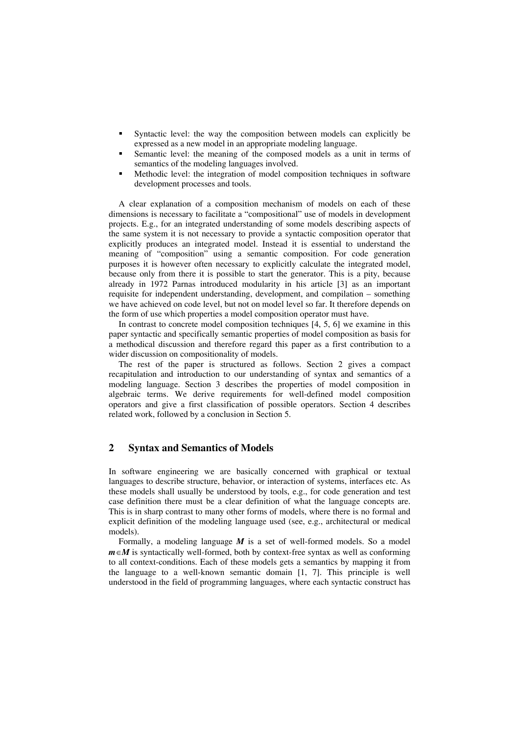- Syntactic level: the way the composition between models can explicitly be expressed as a new model in an appropriate modeling language.
- Semantic level: the meaning of the composed models as a unit in terms of semantics of the modeling languages involved.
- Methodic level: the integration of model composition techniques in software development processes and tools.

A clear explanation of a composition mechanism of models on each of these dimensions is necessary to facilitate a "compositional" use of models in development projects. E.g., for an integrated understanding of some models describing aspects of the same system it is not necessary to provide a syntactic composition operator that explicitly produces an integrated model. Instead it is essential to understand the meaning of "composition" using a semantic composition. For code generation purposes it is however often necessary to explicitly calculate the integrated model, because only from there it is possible to start the generator. This is a pity, because already in 1972 Parnas introduced modularity in his article [3] as an important requisite for independent understanding, development, and compilation – something we have achieved on code level, but not on model level so far. It therefore depends on the form of use which properties a model composition operator must have.

In contrast to concrete model composition techniques [4, 5, 6] we examine in this paper syntactic and specifically semantic properties of model composition as basis for a methodical discussion and therefore regard this paper as a first contribution to a wider discussion on compositionality of models.

The rest of the paper is structured as follows. Section 2 gives a compact recapitulation and introduction to our understanding of syntax and semantics of a modeling language. Section 3 describes the properties of model composition in algebraic terms. We derive requirements for well-defined model composition operators and give a first classification of possible operators. Section 4 describes related work, followed by a conclusion in Section 5.

# **2 Syntax and Semantics of Models**

In software engineering we are basically concerned with graphical or textual languages to describe structure, behavior, or interaction of systems, interfaces etc. As these models shall usually be understood by tools, e.g., for code generation and test case definition there must be a clear definition of what the language concepts are. This is in sharp contrast to many other forms of models, where there is no formal and explicit definition of the modeling language used (see, e.g., architectural or medical models).

Formally, a modeling language *M* is a set of well-formed models. So a model *m*∈*M* is syntactically well-formed, both by context-free syntax as well as conforming to all context-conditions. Each of these models gets a semantics by mapping it from the language to a well-known semantic domain [1, 7]. This principle is well understood in the field of programming languages, where each syntactic construct has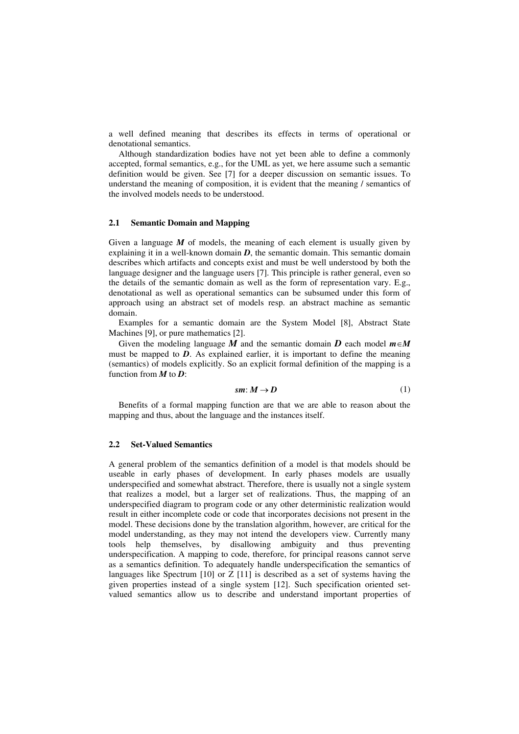a well defined meaning that describes its effects in terms of operational or denotational semantics.

Although standardization bodies have not yet been able to define a commonly accepted, formal semantics, e.g., for the UML as yet, we here assume such a semantic definition would be given. See [7] for a deeper discussion on semantic issues. To understand the meaning of composition, it is evident that the meaning / semantics of the involved models needs to be understood.

## **2.1 Semantic Domain and Mapping**

Given a language  $M$  of models, the meaning of each element is usually given by explaining it in a well-known domain *D*, the semantic domain. This semantic domain describes which artifacts and concepts exist and must be well understood by both the language designer and the language users [7]. This principle is rather general, even so the details of the semantic domain as well as the form of representation vary. E.g., denotational as well as operational semantics can be subsumed under this form of approach using an abstract set of models resp. an abstract machine as semantic domain.

Examples for a semantic domain are the System Model [8], Abstract State Machines [9], or pure mathematics [2].

Given the modeling language  $M$  and the semantic domain  $D$  each model  $m \in M$ must be mapped to *D*. As explained earlier, it is important to define the meaning (semantics) of models explicitly. So an explicit formal definition of the mapping is a function from *M* to *D*:

$$
sm: M \to D \tag{1}
$$

Benefits of a formal mapping function are that we are able to reason about the mapping and thus, about the language and the instances itself.

### **2.2 Set-Valued Semantics**

A general problem of the semantics definition of a model is that models should be useable in early phases of development. In early phases models are usually underspecified and somewhat abstract. Therefore, there is usually not a single system that realizes a model, but a larger set of realizations. Thus, the mapping of an underspecified diagram to program code or any other deterministic realization would result in either incomplete code or code that incorporates decisions not present in the model. These decisions done by the translation algorithm, however, are critical for the model understanding, as they may not intend the developers view. Currently many tools help themselves, by disallowing ambiguity and thus preventing underspecification. A mapping to code, therefore, for principal reasons cannot serve as a semantics definition. To adequately handle underspecification the semantics of languages like Spectrum [10] or Z [11] is described as a set of systems having the given properties instead of a single system [12]. Such specification oriented setvalued semantics allow us to describe and understand important properties of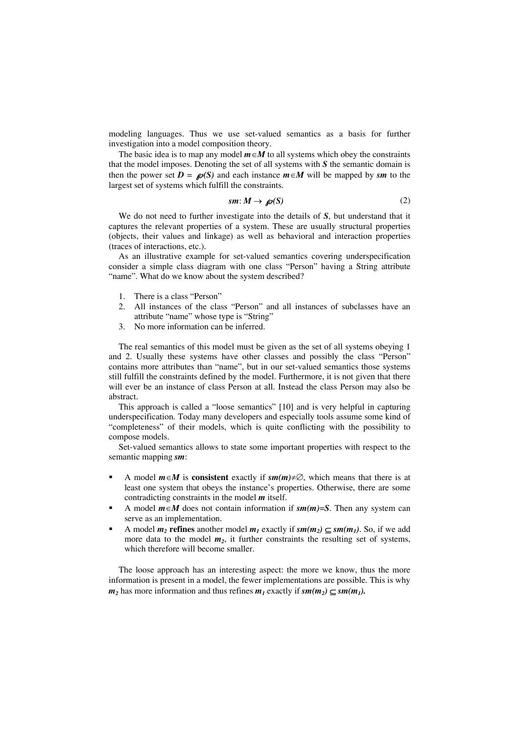modeling languages. Thus we use set-valued semantics as a basis for further investigation into a model composition theory.

The basic idea is to map any model *m*∈*M* to all systems which obey the constraints that the model imposes. Denoting the set of all systems with *S* the semantic domain is then the power set  $D = \mathcal{P}(S)$  and each instance  $m \in M$  will be mapped by *sm* to the largest set of systems which fulfill the constraints.

$$
sm: M \to \wp(S) \tag{2}
$$

We do not need to further investigate into the details of *S*, but understand that it captures the relevant properties of a system. These are usually structural properties (objects, their values and linkage) as well as behavioral and interaction properties (traces of interactions, etc.).

As an illustrative example for set-valued semantics covering underspecification consider a simple class diagram with one class "Person" having a String attribute "name". What do we know about the system described?

- 1. There is a class "Person"
- 2. All instances of the class "Person" and all instances of subclasses have an attribute "name" whose type is "String"
- 3. No more information can be inferred.

The real semantics of this model must be given as the set of all systems obeying 1 and 2. Usually these systems have other classes and possibly the class "Person" contains more attributes than "name", but in our set-valued semantics those systems still fulfill the constraints defined by the model. Furthermore, it is not given that there will ever be an instance of class Person at all. Instead the class Person may also be abstract.

This approach is called a "loose semantics" [10] and is very helpful in capturing underspecification. Today many developers and especially tools assume some kind of "completeness" of their models, which is quite conflicting with the possibility to compose models.

Set-valued semantics allows to state some important properties with respect to the semantic mapping *sm*:

- A model *m*∈*M* is **consistent** exactly if *sm(m)*≠∅, which means that there is at least one system that obeys the instance's properties. Otherwise, there are some contradicting constraints in the model *m* itself.
- A model *m*∈*M* does not contain information if *sm(m)*=*S*. Then any system can serve as an implementation.
- A model  $m_2$  **refines** another model  $m_1$  exactly if  $sm(m_2) \subseteq sm(m_1)$ . So, if we add more data to the model  $m_2$ , it further constraints the resulting set of systems, which therefore will become smaller.

The loose approach has an interesting aspect: the more we know, thus the more information is present in a model, the fewer implementations are possible. This is why *m<sub>2</sub>* has more information and thus refines  $m_1$  exactly if  $sm(m_2) \subset sm(m_1)$ .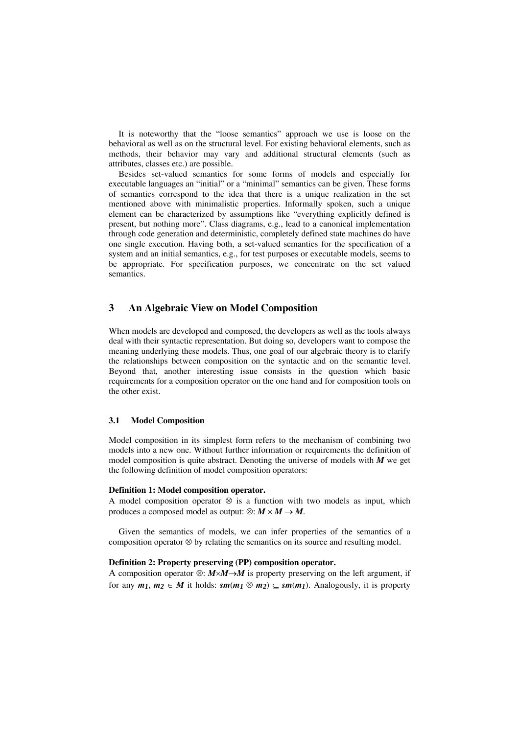It is noteworthy that the "loose semantics" approach we use is loose on the behavioral as well as on the structural level. For existing behavioral elements, such as methods, their behavior may vary and additional structural elements (such as attributes, classes etc.) are possible.

Besides set-valued semantics for some forms of models and especially for executable languages an "initial" or a "minimal" semantics can be given. These forms of semantics correspond to the idea that there is a unique realization in the set mentioned above with minimalistic properties. Informally spoken, such a unique element can be characterized by assumptions like "everything explicitly defined is present, but nothing more". Class diagrams, e.g., lead to a canonical implementation through code generation and deterministic, completely defined state machines do have one single execution. Having both, a set-valued semantics for the specification of a system and an initial semantics, e.g., for test purposes or executable models, seems to be appropriate. For specification purposes, we concentrate on the set valued semantics.

# **3 An Algebraic View on Model Composition**

When models are developed and composed, the developers as well as the tools always deal with their syntactic representation. But doing so, developers want to compose the meaning underlying these models. Thus, one goal of our algebraic theory is to clarify the relationships between composition on the syntactic and on the semantic level. Beyond that, another interesting issue consists in the question which basic requirements for a composition operator on the one hand and for composition tools on the other exist.

#### **3.1 Model Composition**

Model composition in its simplest form refers to the mechanism of combining two models into a new one. Without further information or requirements the definition of model composition is quite abstract. Denoting the universe of models with *M* we get the following definition of model composition operators:

### **Definition 1: Model composition operator.**

A model composition operator ⊗ is a function with two models as input, which produces a composed model as output:  $\otimes$ :  $M \times M \rightarrow M$ .

Given the semantics of models, we can infer properties of the semantics of a composition operator ⊗ by relating the semantics on its source and resulting model.

#### **Definition 2: Property preserving (PP) composition operator.**

A composition operator ⊗: *M*×*M*→*M* is property preserving on the left argument, if for any  $m_1, m_2 \in M$  it holds:  $sm(m_1 \otimes m_2) \subseteq sm(m_1)$ . Analogously, it is property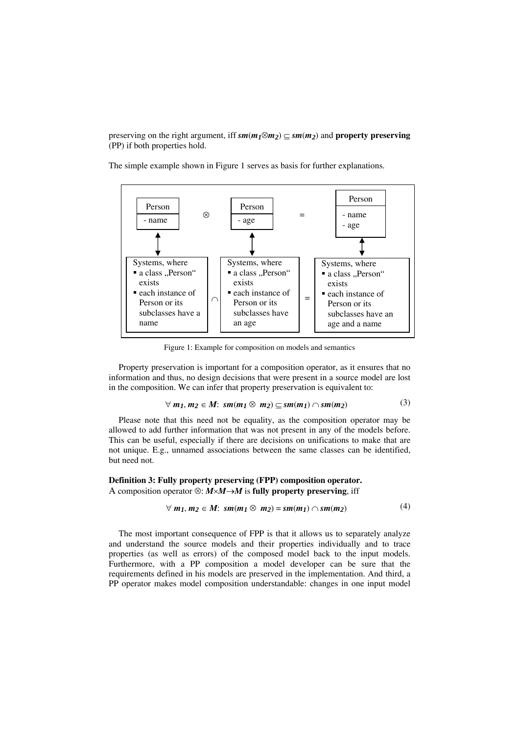preserving on the right argument, iff  $sm(m_1 \otimes m_2) \subseteq sm(m_2)$  and **property preserving** (PP) if both properties hold.

The simple example shown in Figure 1 serves as basis for further explanations.



Figure 1: Example for composition on models and semantics

Property preservation is important for a composition operator, as it ensures that no information and thus, no design decisions that were present in a source model are lost in the composition. We can infer that property preservation is equivalent to:

$$
\forall m_1, m_2 \in M: sm(m_1 \otimes m_2) \subseteq sm(m_1) \cap sm(m_2)
$$
 (3)

Please note that this need not be equality, as the composition operator may be allowed to add further information that was not present in any of the models before. This can be useful, especially if there are decisions on unifications to make that are not unique. E.g., unnamed associations between the same classes can be identified, but need not.

## **Definition 3: Fully property preserving (FPP) composition operator.**  A composition operator ⊗: *M*×*M*→*M* is **fully property preserving**, iff

$$
\forall m_1, m_2 \in M: sm(m_1 \otimes m_2) = sm(m_1) \cap sm(m_2)
$$
 (4)

The most important consequence of FPP is that it allows us to separately analyze and understand the source models and their properties individually and to trace properties (as well as errors) of the composed model back to the input models. Furthermore, with a PP composition a model developer can be sure that the requirements defined in his models are preserved in the implementation. And third, a PP operator makes model composition understandable: changes in one input model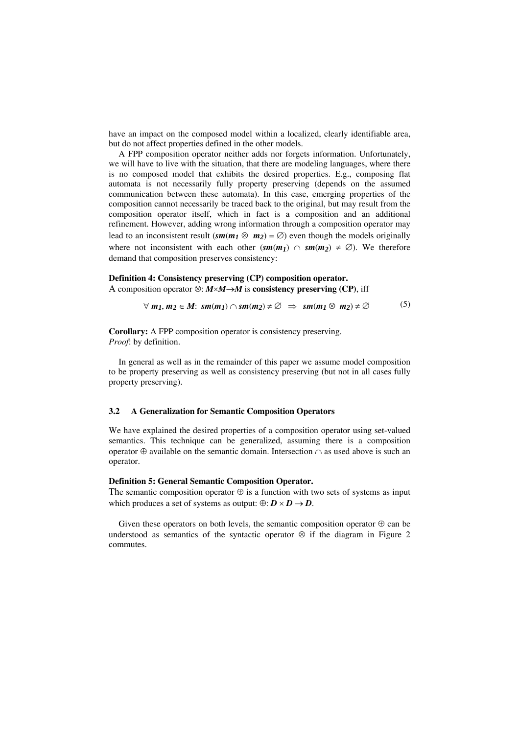have an impact on the composed model within a localized, clearly identifiable area, but do not affect properties defined in the other models.

A FPP composition operator neither adds nor forgets information. Unfortunately, we will have to live with the situation, that there are modeling languages, where there is no composed model that exhibits the desired properties. E.g., composing flat automata is not necessarily fully property preserving (depends on the assumed communication between these automata). In this case, emerging properties of the composition cannot necessarily be traced back to the original, but may result from the composition operator itself, which in fact is a composition and an additional refinement. However, adding wrong information through a composition operator may lead to an inconsistent result  $(\textit{sm}(m_1 \otimes m_2) = \varnothing)$  even though the models originally where not inconsistent with each other  $(\textit{sm}(m_1) \cap \textit{sm}(m_2) \neq \emptyset)$ . We therefore demand that composition preserves consistency:

**Definition 4: Consistency preserving (CP) composition operator.**  A composition operator ⊗: *M*×*M*→*M* is **consistency preserving (CP)**, iff

$$
\forall m_1, m_2 \in M: sm(m_1) \cap sm(m_2) \neq \emptyset \Rightarrow sm(m_1 \otimes m_2) \neq \emptyset \tag{5}
$$

**Corollary:** A FPP composition operator is consistency preserving. *Proof*: by definition.

In general as well as in the remainder of this paper we assume model composition to be property preserving as well as consistency preserving (but not in all cases fully property preserving).

#### **3.2 A Generalization for Semantic Composition Operators**

We have explained the desired properties of a composition operator using set-valued semantics. This technique can be generalized, assuming there is a composition operator ⊕ available on the semantic domain. Intersection ∩ as used above is such an operator.

### **Definition 5: General Semantic Composition Operator.**

The semantic composition operator  $\oplus$  is a function with two sets of systems as input which produces a set of systems as output:  $\oplus: D \times D \to D$ .

Given these operators on both levels, the semantic composition operator  $\oplus$  can be understood as semantics of the syntactic operator  $\otimes$  if the diagram in Figure 2 commutes.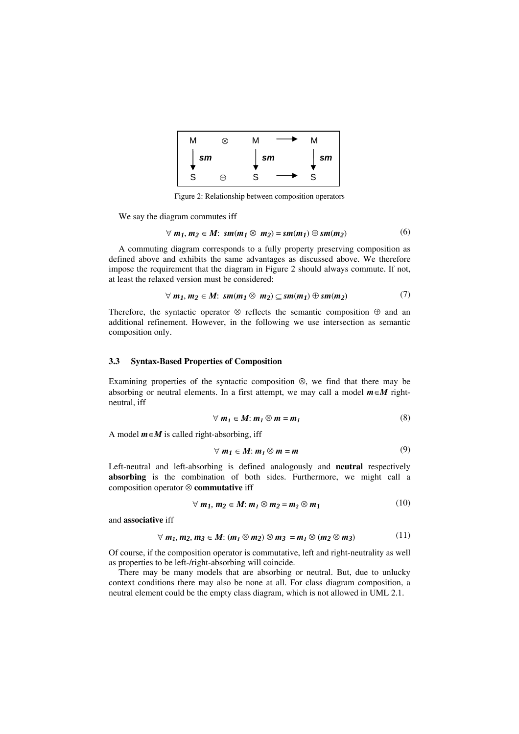

Figure 2: Relationship between composition operators

We say the diagram commutes iff

$$
\forall m_1, m_2 \in M: sm(m_1 \otimes m_2) = sm(m_1) \oplus sm(m_2)
$$
 (6)

A commuting diagram corresponds to a fully property preserving composition as defined above and exhibits the same advantages as discussed above. We therefore impose the requirement that the diagram in Figure 2 should always commute. If not, at least the relaxed version must be considered:

$$
\forall m_1, m_2 \in M: sm(m_1 \otimes m_2) \subseteq sm(m_1) \oplus sm(m_2)
$$
 (7)

Therefore, the syntactic operator  $\otimes$  reflects the semantic composition  $\oplus$  and an additional refinement. However, in the following we use intersection as semantic composition only.

#### **3.3 Syntax-Based Properties of Composition**

Examining properties of the syntactic composition ⊗, we find that there may be absorbing or neutral elements. In a first attempt, we may call a model *m*∈*M* rightneutral, iff

$$
\forall m_1 \in M: m_1 \otimes m = m_1 \tag{8}
$$

A model *m*∈*M* is called right-absorbing, iff

$$
\forall m_1 \in M: m_1 \otimes m = m \tag{9}
$$

Left-neutral and left-absorbing is defined analogously and **neutral** respectively **absorbing** is the combination of both sides. Furthermore, we might call a composition operator ⊗ **commutative** iff

$$
\forall m_1, m_2 \in M: m_1 \otimes m_2 = m_2 \otimes m_1 \tag{10}
$$

and **associative** iff

$$
\forall m_1, m_2, m_3 \in M: (m_1 \otimes m_2) \otimes m_3 = m_1 \otimes (m_2 \otimes m_3) \tag{11}
$$

Of course, if the composition operator is commutative, left and right-neutrality as well as properties to be left-/right-absorbing will coincide.

There may be many models that are absorbing or neutral. But, due to unlucky context conditions there may also be none at all. For class diagram composition, a neutral element could be the empty class diagram, which is not allowed in UML 2.1.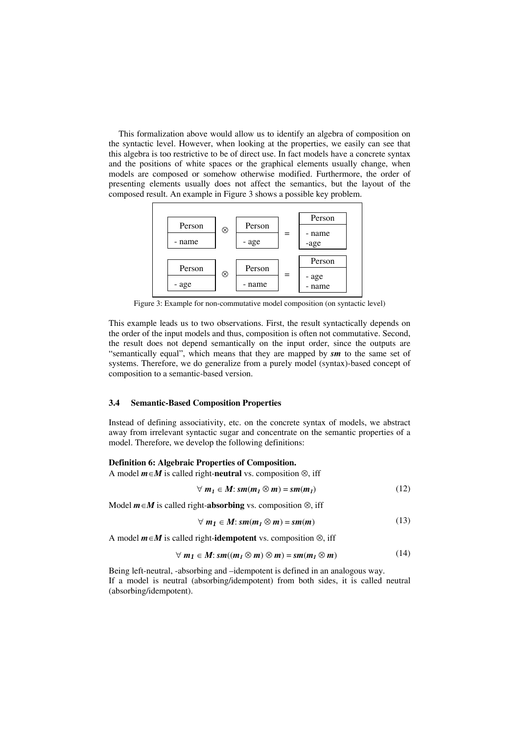This formalization above would allow us to identify an algebra of composition on the syntactic level. However, when looking at the properties, we easily can see that this algebra is too restrictive to be of direct use. In fact models have a concrete syntax and the positions of white spaces or the graphical elements usually change, when models are composed or somehow otherwise modified. Furthermore, the order of presenting elements usually does not affect the semantics, but the layout of the composed result. An example in Figure 3 shows a possible key problem.



Figure 3: Example for non-commutative model composition (on syntactic level)

This example leads us to two observations. First, the result syntactically depends on the order of the input models and thus, composition is often not commutative. Second, the result does not depend semantically on the input order, since the outputs are "semantically equal", which means that they are mapped by *sm* to the same set of systems. Therefore, we do generalize from a purely model (syntax)-based concept of composition to a semantic-based version.

#### **3.4 Semantic-Based Composition Properties**

Instead of defining associativity, etc. on the concrete syntax of models, we abstract away from irrelevant syntactic sugar and concentrate on the semantic properties of a model. Therefore, we develop the following definitions:

### **Definition 6: Algebraic Properties of Composition.**

A model *m*∈*M* is called right-**neutral** vs. composition ⊗, iff

$$
\forall m_1 \in M: sm(m_1 \otimes m) = sm(m_1)
$$
 (12)

Model *m*∈*M* is called right-**absorbing** vs. composition ⊗, iff

$$
\forall m_1 \in M: sm(m_1 \otimes m) = sm(m) \tag{13}
$$

A model *m*∈*M* is called right-**idempotent** vs. composition ⊗, iff

$$
\forall m_1 \in M: sm((m_1 \otimes m) \otimes m) = sm(m_1 \otimes m) \tag{14}
$$

Being left-neutral, -absorbing and –idempotent is defined in an analogous way. If a model is neutral (absorbing/idempotent) from both sides, it is called neutral (absorbing/idempotent).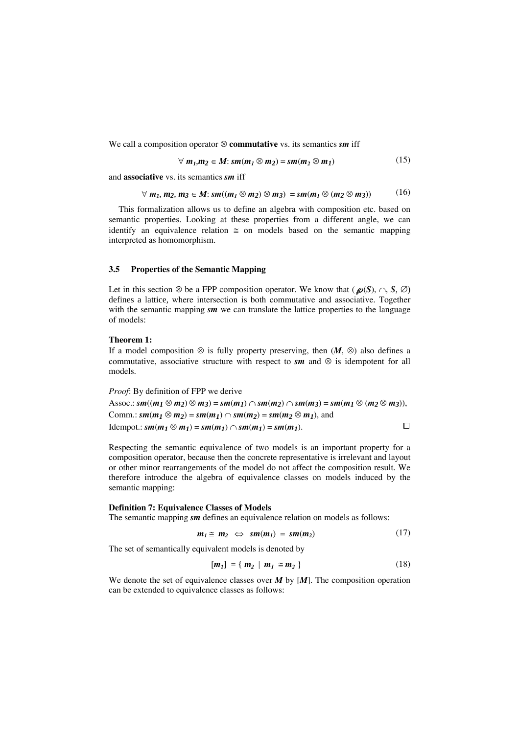We call a composition operator ⊗ **commutative** vs. its semantics *sm* iff

$$
\forall m_1, m_2 \in M: sm(m_1 \otimes m_2) = sm(m_2 \otimes m_1)
$$
 (15)

and **associative** vs. its semantics *sm* iff

$$
\forall m_1, m_2, m_3 \in M: sm((m_1 \otimes m_2) \otimes m_3) = sm(m_1 \otimes (m_2 \otimes m_3))
$$
 (16)

This formalization allows us to define an algebra with composition etc. based on semantic properties. Looking at these properties from a different angle, we can identify an equivalence relation  $\cong$  on models based on the semantic mapping interpreted as homomorphism.

#### **3.5 Properties of the Semantic Mapping**

Let in this section ⊗ be a FPP composition operator. We know that ( $\mathcal{P}(S)$ ,  $\cap$ ,  $S$ ,  $\emptyset$ ) defines a lattice, where intersection is both commutative and associative. Together with the semantic mapping *sm* we can translate the lattice properties to the language of models:

#### **Theorem 1:**

If a model composition ⊗ is fully property preserving, then (*M*, ⊗) also defines a commutative, associative structure with respect to *sm* and ⊗ is idempotent for all models.

*Proof*: By definition of FPP we derive Assoc.:  $sm((m_1 \otimes m_2) \otimes m_3) = sm(m_1) \cap sm(m_2) \cap sm(m_3) = sm(m_1 \otimes (m_2 \otimes m_3)),$ Comm.:  $\mathbf{sm}(m_1 \otimes m_2) = \mathbf{sm}(m_1) \cap \mathbf{sm}(m_2) = \mathbf{sm}(m_2 \otimes m_1)$ , and  $\Box$ Idempot.:  $sm(m_1 \otimes m_1) = sm(m_1) \cap sm(m_1) = sm(m_1)$ .

Respecting the semantic equivalence of two models is an important property for a composition operator, because then the concrete representative is irrelevant and layout or other minor rearrangements of the model do not affect the composition result. We therefore introduce the algebra of equivalence classes on models induced by the semantic mapping:

#### **Definition 7: Equivalence Classes of Models**

The semantic mapping *sm* defines an equivalence relation on models as follows:

$$
m_1 \cong m_2 \iff sm(m_1) = sm(m_2) \tag{17}
$$

The set of semantically equivalent models is denoted by

$$
[m_1] = \{ m_2 \mid m_1 \ge m_2 \}
$$
 (18)

We denote the set of equivalence classes over *M* by [*M*]. The composition operation can be extended to equivalence classes as follows: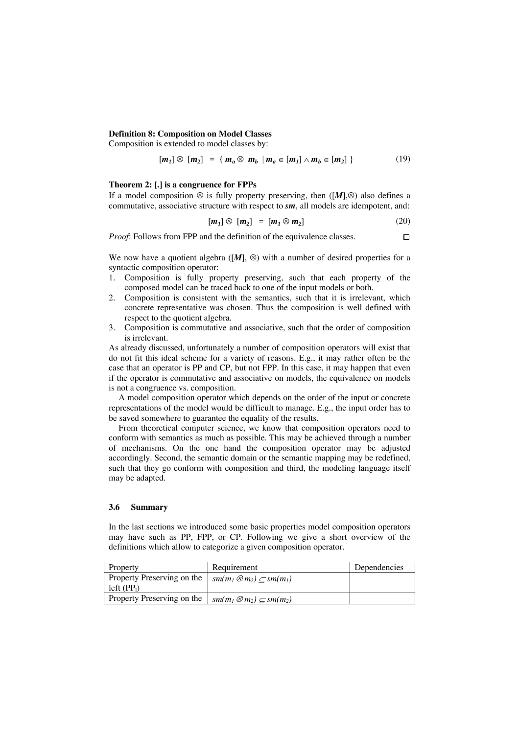#### **Definition 8: Composition on Model Classes**

Composition is extended to model classes by:

$$
[m_1] \otimes [m_2] = \{ m_a \otimes m_b \mid m_a \in [m_1] \wedge m_b \in [m_2] \}
$$
 (19)

#### **Theorem 2: [.] is a congruence for FPPs**

If a model composition ⊗ is fully property preserving, then ([*M*],⊗) also defines a commutative, associative structure with respect to *sm*, all models are idempotent, and:

$$
[m_1] \otimes [m_2] = [m_1 \otimes m_2] \qquad (20)
$$

 $\Box$ 

*Proof*: Follows from FPP and the definition of the equivalence classes.

We now have a quotient algebra ([M],  $\otimes$ ) with a number of desired properties for a syntactic composition operator:

- 1. Composition is fully property preserving, such that each property of the composed model can be traced back to one of the input models or both.
- 2. Composition is consistent with the semantics, such that it is irrelevant, which concrete representative was chosen. Thus the composition is well defined with respect to the quotient algebra.
- 3. Composition is commutative and associative, such that the order of composition is irrelevant.

As already discussed, unfortunately a number of composition operators will exist that do not fit this ideal scheme for a variety of reasons. E.g., it may rather often be the case that an operator is PP and CP, but not FPP. In this case, it may happen that even if the operator is commutative and associative on models, the equivalence on models is not a congruence vs. composition.

A model composition operator which depends on the order of the input or concrete representations of the model would be difficult to manage. E.g., the input order has to be saved somewhere to guarantee the equality of the results.

From theoretical computer science, we know that composition operators need to conform with semantics as much as possible. This may be achieved through a number of mechanisms. On the one hand the composition operator may be adjusted accordingly. Second, the semantic domain or the semantic mapping may be redefined, such that they go conform with composition and third, the modeling language itself may be adapted.

#### **3.6 Summary**

In the last sections we introduced some basic properties model composition operators may have such as PP, FPP, or CP. Following we give a short overview of the definitions which allow to categorize a given composition operator.

| Property                   | Requirement                             | Dependencies |
|----------------------------|-----------------------------------------|--------------|
| Property Preserving on the | $sm(m_1 \otimes m_2) \subseteq sm(m_1)$ |              |
| left $(PP_1)$              |                                         |              |
| Property Preserving on the | $sm(m_1 \otimes m_2) \subset sm(m_2)$   |              |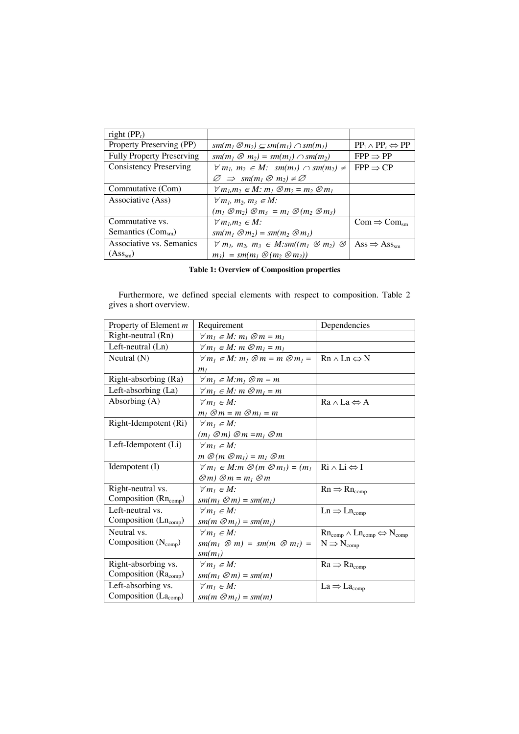| right $(PP_r)$                   |                                                                      |                                                 |
|----------------------------------|----------------------------------------------------------------------|-------------------------------------------------|
| Property Preserving (PP)         | $sm(m_1 \otimes m_2) \subset sm(m_1) \cap sm(m_1)$                   | $PP_1 \wedge PP_r \Longleftrightarrow PP$       |
| <b>Fully Property Preserving</b> | $sm(m_1 \otimes m_2) = sm(m_1) \cap sm(m_2)$                         | $FPP \Rightarrow PP$                            |
| <b>Consistency Preserving</b>    | $\forall m_1, m_2 \in M$ : $sm(m_1) \cap sm(m_2) \neq$               | $FPP \Rightarrow CP$                            |
|                                  | $\varnothing \Rightarrow sm(m_1 \otimes m_2) \neq \varnothing$       |                                                 |
| Commutative (Com)                | $\forall m_1, m_2 \in M$ : $m_1 \otimes m_2 = m_2 \otimes m_1$       |                                                 |
| Associative (Ass)                | $\forall m_1, m_2, m_3 \in M$ :                                      |                                                 |
|                                  | $(m_1 \otimes m_2) \otimes m_3 = m_1 \otimes (m_2 \otimes m_3)$      |                                                 |
| Commutative vs.                  | $\forall m_1, m_2 \in M$ :                                           | $Com \Rightarrow Com_{\mathfrak{m}}$            |
| Semantics (Com <sub>sm</sub> )   | $sm(m_1 \otimes m_2) = sm(m_2 \otimes m_1)$                          |                                                 |
| Associative vs. Semanics         | $\forall m_1, m_2, m_3 \in M: \mathit{sm}((m_1 \otimes m_2) \otimes$ | $\text{Ass} \Rightarrow \text{Ass}_{\text{sm}}$ |
| $(Ass_{sm})$                     | $m_3$ ) = sm( $m_1 \otimes (m_2 \otimes m_3)$ )                      |                                                 |

| <b>Table 1: Overview of Composition properties</b> |  |
|----------------------------------------------------|--|
|----------------------------------------------------|--|

Furthermore, we defined special elements with respect to composition. Table 2 gives a short overview.

| Property of Element m             | Requirement                                             | Dependencies                                                |
|-----------------------------------|---------------------------------------------------------|-------------------------------------------------------------|
| Right-neutral (Rn)                | $\forall m_1 \in M: m_1 \otimes m = m_1$                |                                                             |
| Left-neutral (Ln)                 | $\forall m_1 \in M: m \otimes m_1 = m_1$                |                                                             |
| Neutral $(N)$                     | $\forall m_1 \in M: m_1 \otimes m = m \otimes m_1 =$    | $Rn \wedge Ln \Leftrightarrow N$                            |
|                                   | m <sub>I</sub>                                          |                                                             |
| Right-absorbing (Ra)              | $\forall m_1 \in M : m_1 \otimes m = m$                 |                                                             |
| Left-absorbing (La)               | $\forall m_1 \in M: m \otimes m_1 = m$                  |                                                             |
| Absorbing (A)                     | $\forall m_1 \in M$ :                                   | $Ra \wedge La \Leftrightarrow A$                            |
|                                   | $m_l \otimes m = m \otimes m_l = m$                     |                                                             |
| Right-Idempotent (Ri)             | $\forall m_1 \in M$ :                                   |                                                             |
|                                   | $(m_1 \otimes m) \otimes m = m_1 \otimes m$             |                                                             |
| Left-Idempotent (Li)              | $\forall m_1 \in M$ :                                   |                                                             |
|                                   | $m \otimes (m \otimes m_l) = m_l \otimes m$             |                                                             |
| Idempotent (I)                    | $\forall m_1 \in M : m \otimes (m \otimes m_1) = (m_1)$ | $\mathrm{R}i \wedge \mathrm{L}i \Leftrightarrow \mathrm{I}$ |
|                                   | $\otimes m) \otimes m = m_1 \otimes m$                  |                                                             |
| Right-neutral vs.                 | $\forall m_1 \in M$ :                                   | $Rn \Rightarrow Rn_{comp}$                                  |
| Composition (Rn <sub>comp</sub> ) | $sm(m_1 \otimes m) = sm(m_1)$                           |                                                             |
| Left-neutral vs.                  | $\forall m_1 \in M$ :                                   | $Ln \Rightarrow Ln_{comp}$                                  |
| Composition $(Ln_{comp})$         | $sm(m \otimes m_l) = sm(m_l)$                           |                                                             |
| Neutral vs.                       | $\forall m_i \in M$ :                                   | $Rn_{comp} \wedge Ln_{comp} \Leftrightarrow N_{comp}$       |
| Composition $(N_{comp})$          | $sm(m_1 \otimes m) = sm(m \otimes m_1) =$               | $N \Rightarrow N_{comp}$                                    |
|                                   | $sm(m_l)$                                               |                                                             |
| Right-absorbing vs.               | $\forall m_1 \in M$ :                                   | $Ra \Rightarrow Ra_{comp}$                                  |
| Composition (Ra <sub>comp</sub> ) | $sm(m_1 \otimes m) = sm(m)$                             |                                                             |
| Left-absorbing vs.                | $\forall m_1 \in M$ :                                   | $La \Rightarrow La_{comp}$                                  |
| Composition (La <sub>comp</sub> ) | $sm(m \otimes m_l) = sm(m)$                             |                                                             |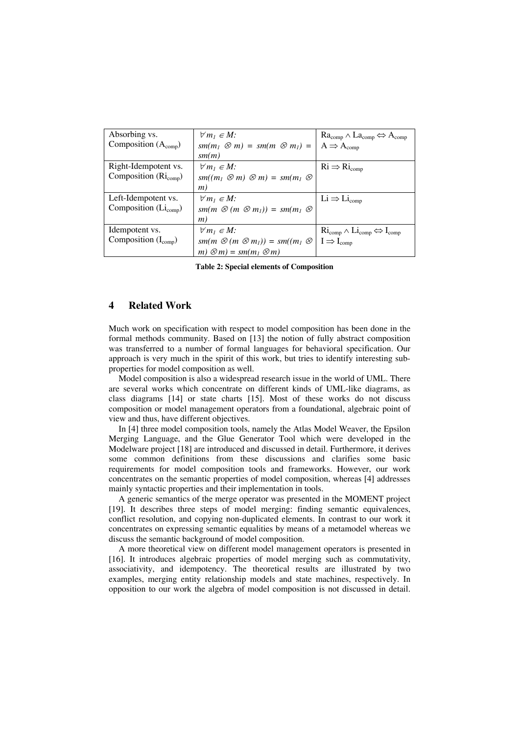| Absorbing vs.                   | $\forall m_1 \in M$ :                             |                                                                                                                 |
|---------------------------------|---------------------------------------------------|-----------------------------------------------------------------------------------------------------------------|
| Composition $(A_{comp})$        | $sm(m_1 \otimes m) = sm(m \otimes m_1) =$         | $R_{\text{acomp}} \wedge L_{\text{acomp}} \Leftrightarrow A_{\text{comp}}$<br>A $\Rightarrow$ A <sub>comp</sub> |
|                                 | sm(m)                                             |                                                                                                                 |
| Right-Idempotent vs.            | $\forall m_1 \in M$ :                             | $\mathrm{Ri} \Rightarrow \mathrm{Ri}_{\mathrm{comp}}$                                                           |
| Composition $(Ri_{comp})$       | $sm((m_1 \otimes m) \otimes m) = sm(m_1 \otimes$  |                                                                                                                 |
|                                 | (m)                                               |                                                                                                                 |
| Left-Idempotent vs.             | $\forall m_1 \in M$ :                             | $Li \Rightarrow Li_{comp}$                                                                                      |
| Composition $(Li_{comp})$       | $sm(m \otimes (m \otimes m_l)) = sm(m_l \otimes$  |                                                                                                                 |
|                                 | m)                                                |                                                                                                                 |
| Idempotent vs.                  | $\forall m_1 \in M$ :                             | $\mathrm{Ri}_{\mathrm{comp}} \wedge \mathrm{Li}_{\mathrm{comp}} \Leftrightarrow \mathrm{I}_{\mathrm{comp}}$     |
| Composition $(I_{\text{comp}})$ | $sm(m \otimes (m \otimes m_1)) = sm((m_1 \otimes$ | $I \Rightarrow I_{comp}$                                                                                        |
|                                 | $m) \otimes m$ = sm( $m_1 \otimes m$ )            |                                                                                                                 |

**Table 2: Special elements of Composition** 

# **4 Related Work**

Much work on specification with respect to model composition has been done in the formal methods community. Based on [13] the notion of fully abstract composition was transferred to a number of formal languages for behavioral specification. Our approach is very much in the spirit of this work, but tries to identify interesting subproperties for model composition as well.

Model composition is also a widespread research issue in the world of UML. There are several works which concentrate on different kinds of UML-like diagrams, as class diagrams [14] or state charts [15]. Most of these works do not discuss composition or model management operators from a foundational, algebraic point of view and thus, have different objectives.

In [4] three model composition tools, namely the Atlas Model Weaver, the Epsilon Merging Language, and the Glue Generator Tool which were developed in the Modelware project [18] are introduced and discussed in detail. Furthermore, it derives some common definitions from these discussions and clarifies some basic requirements for model composition tools and frameworks. However, our work concentrates on the semantic properties of model composition, whereas [4] addresses mainly syntactic properties and their implementation in tools.

A generic semantics of the merge operator was presented in the MOMENT project [19]. It describes three steps of model merging: finding semantic equivalences, conflict resolution, and copying non-duplicated elements. In contrast to our work it concentrates on expressing semantic equalities by means of a metamodel whereas we discuss the semantic background of model composition.

A more theoretical view on different model management operators is presented in [16]. It introduces algebraic properties of model merging such as commutativity, associativity, and idempotency. The theoretical results are illustrated by two examples, merging entity relationship models and state machines, respectively. In opposition to our work the algebra of model composition is not discussed in detail.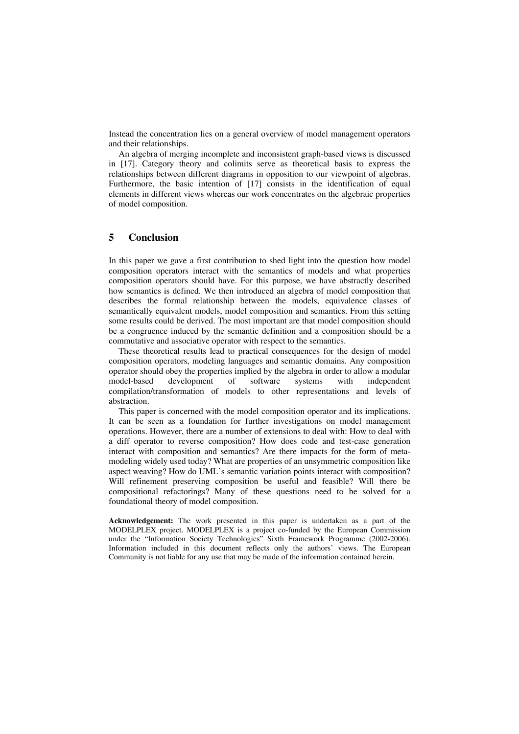Instead the concentration lies on a general overview of model management operators and their relationships.

An algebra of merging incomplete and inconsistent graph-based views is discussed in [17]. Category theory and colimits serve as theoretical basis to express the relationships between different diagrams in opposition to our viewpoint of algebras. Furthermore, the basic intention of [17] consists in the identification of equal elements in different views whereas our work concentrates on the algebraic properties of model composition.

# **5 Conclusion**

In this paper we gave a first contribution to shed light into the question how model composition operators interact with the semantics of models and what properties composition operators should have. For this purpose, we have abstractly described how semantics is defined. We then introduced an algebra of model composition that describes the formal relationship between the models, equivalence classes of semantically equivalent models, model composition and semantics. From this setting some results could be derived. The most important are that model composition should be a congruence induced by the semantic definition and a composition should be a commutative and associative operator with respect to the semantics.

These theoretical results lead to practical consequences for the design of model composition operators, modeling languages and semantic domains. Any composition operator should obey the properties implied by the algebra in order to allow a modular model-based development of software systems with independent compilation/transformation of models to other representations and levels of abstraction.

This paper is concerned with the model composition operator and its implications. It can be seen as a foundation for further investigations on model management operations. However, there are a number of extensions to deal with: How to deal with a diff operator to reverse composition? How does code and test-case generation interact with composition and semantics? Are there impacts for the form of metamodeling widely used today? What are properties of an unsymmetric composition like aspect weaving? How do UML's semantic variation points interact with composition? Will refinement preserving composition be useful and feasible? Will there be compositional refactorings? Many of these questions need to be solved for a foundational theory of model composition.

**Acknowledgement:** The work presented in this paper is undertaken as a part of the MODELPLEX project. MODELPLEX is a project co-funded by the European Commission under the "Information Society Technologies" Sixth Framework Programme (2002-2006). Information included in this document reflects only the authors' views. The European Community is not liable for any use that may be made of the information contained herein.